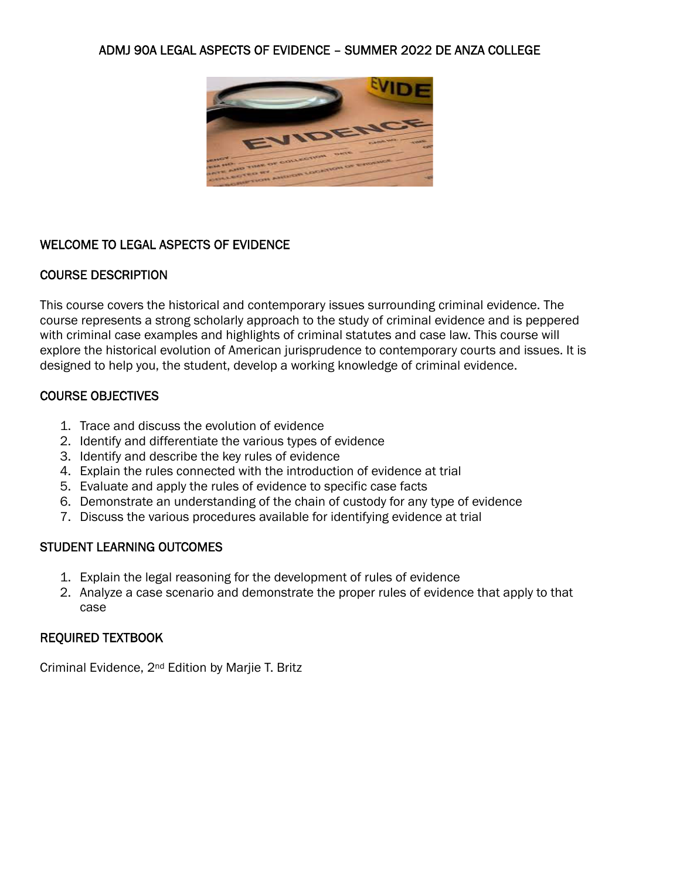## ADMJ 90A LEGAL ASPECTS OF EVIDENCE – SUMMER 2022 DE ANZA COLLEGE



## WELCOME TO LEGAL ASPECTS OF EVIDENCE

### COURSE DESCRIPTION

This course covers the historical and contemporary issues surrounding criminal evidence. The course represents a strong scholarly approach to the study of criminal evidence and is peppered with criminal case examples and highlights of criminal statutes and case law. This course will explore the historical evolution of American jurisprudence to contemporary courts and issues. It is designed to help you, the student, develop a working knowledge of criminal evidence.

## COURSE OBJECTIVES

- 1. Trace and discuss the evolution of evidence
- 2. Identify and differentiate the various types of evidence
- 3. Identify and describe the key rules of evidence
- 4. Explain the rules connected with the introduction of evidence at trial
- 5. Evaluate and apply the rules of evidence to specific case facts
- 6. Demonstrate an understanding of the chain of custody for any type of evidence
- 7. Discuss the various procedures available for identifying evidence at trial

## STUDENT LEARNING OUTCOMES

- 1. Explain the legal reasoning for the development of rules of evidence
- 2. Analyze a case scenario and demonstrate the proper rules of evidence that apply to that case

#### REQUIRED TEXTBOOK

Criminal Evidence, 2nd Edition by Marjie T. Britz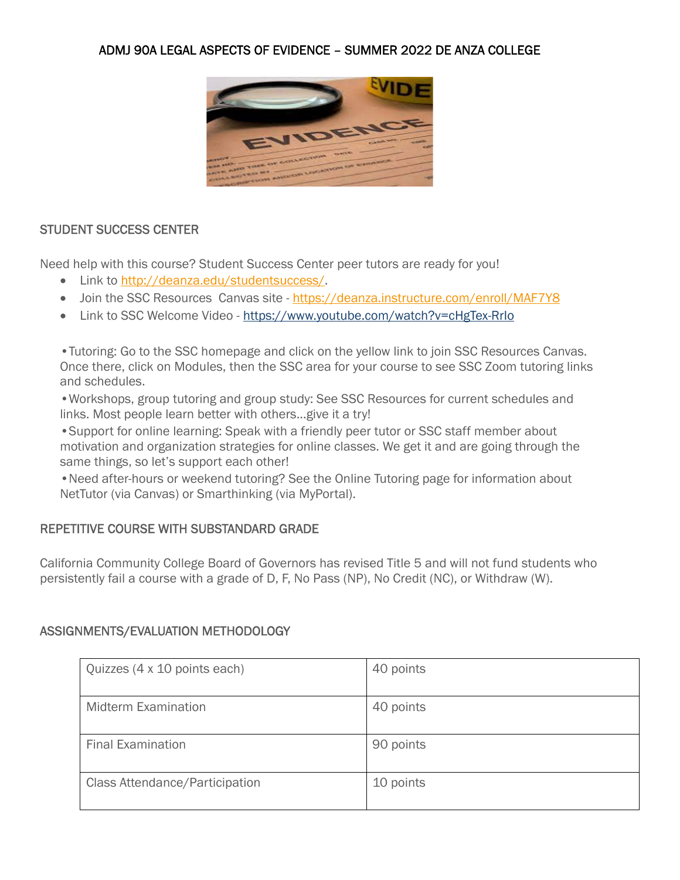# ADMJ 90A LEGAL ASPECTS OF EVIDENCE – SUMMER 2022 DE ANZA COLLEGE



### STUDENT SUCCESS CENTER

Need help with this course? Student Success Center peer tutors are ready for you!

- Link to http://deanza.edu/studentsuccess/.
- Join the SSC Resources Canvas site https://deanza.instructure.com/enroll/MAF7Y8
- Link to SSC Welcome Video https://www.youtube.com/watch?v=cHgTex-RrIo

•Tutoring: Go to the SSC homepage and click on the yellow link to join SSC Resources Canvas. Once there, click on Modules, then the SSC area for your course to see SSC Zoom tutoring links and schedules.

•Workshops, group tutoring and group study: See SSC Resources for current schedules and links. Most people learn better with others...give it a try!

•Support for online learning: Speak with a friendly peer tutor or SSC staff member about motivation and organization strategies for online classes. We get it and are going through the same things, so let's support each other!

•Need after-hours or weekend tutoring? See the Online Tutoring page for information about NetTutor (via Canvas) or Smarthinking (via MyPortal).

## REPETITIVE COURSE WITH SUBSTANDARD GRADE

California Community College Board of Governors has revised Title 5 and will not fund students who persistently fail a course with a grade of D, F, No Pass (NP), No Credit (NC), or Withdraw (W).

#### ASSIGNMENTS/EVALUATION METHODOLOGY

| Quizzes (4 x 10 points each)   | 40 points |
|--------------------------------|-----------|
| <b>Midterm Examination</b>     | 40 points |
| <b>Final Examination</b>       | 90 points |
| Class Attendance/Participation | 10 points |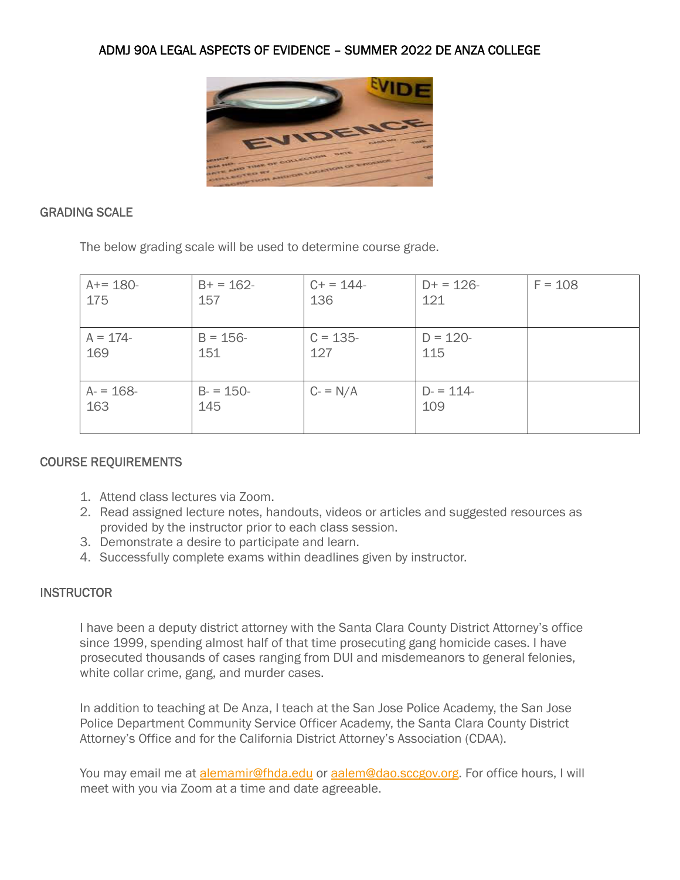

## GRADING SCALE

The below grading scale will be used to determine course grade.

| $A+= 180-$       | $B+ = 162 -$       | $C+ = 144-$ | $D+ = 126 -$     | $F = 108$ |
|------------------|--------------------|-------------|------------------|-----------|
| 175              | 157                | 136         | 121              |           |
| $A = 174 -$      | $B = 156 -$        | $C = 135 -$ | $D = 120 -$      |           |
| 169              | 151                | 127         | 115              |           |
| $A = 168$<br>163 | $B = 150 -$<br>145 | $C = N/A$   | $D = 114$<br>109 |           |

## COURSE REQUIREMENTS

- 1. Attend class lectures via Zoom.
- 2. Read assigned lecture notes, handouts, videos or articles and suggested resources as provided by the instructor prior to each class session.
- 3. Demonstrate a desire to participate and learn.
- 4. Successfully complete exams within deadlines given by instructor.

## **INSTRUCTOR**

I have been a deputy district attorney with the Santa Clara County District Attorney's office since 1999, spending almost half of that time prosecuting gang homicide cases. I have prosecuted thousands of cases ranging from DUI and misdemeanors to general felonies, white collar crime, gang, and murder cases.

In addition to teaching at De Anza, I teach at the San Jose Police Academy, the San Jose Police Department Community Service Officer Academy, the Santa Clara County District Attorney's Office and for the California District Attorney's Association (CDAA).

You may email me at alemamir@fhda.edu or aalem@dao.sccgov.org. For office hours, I will meet with you via Zoom at a time and date agreeable.